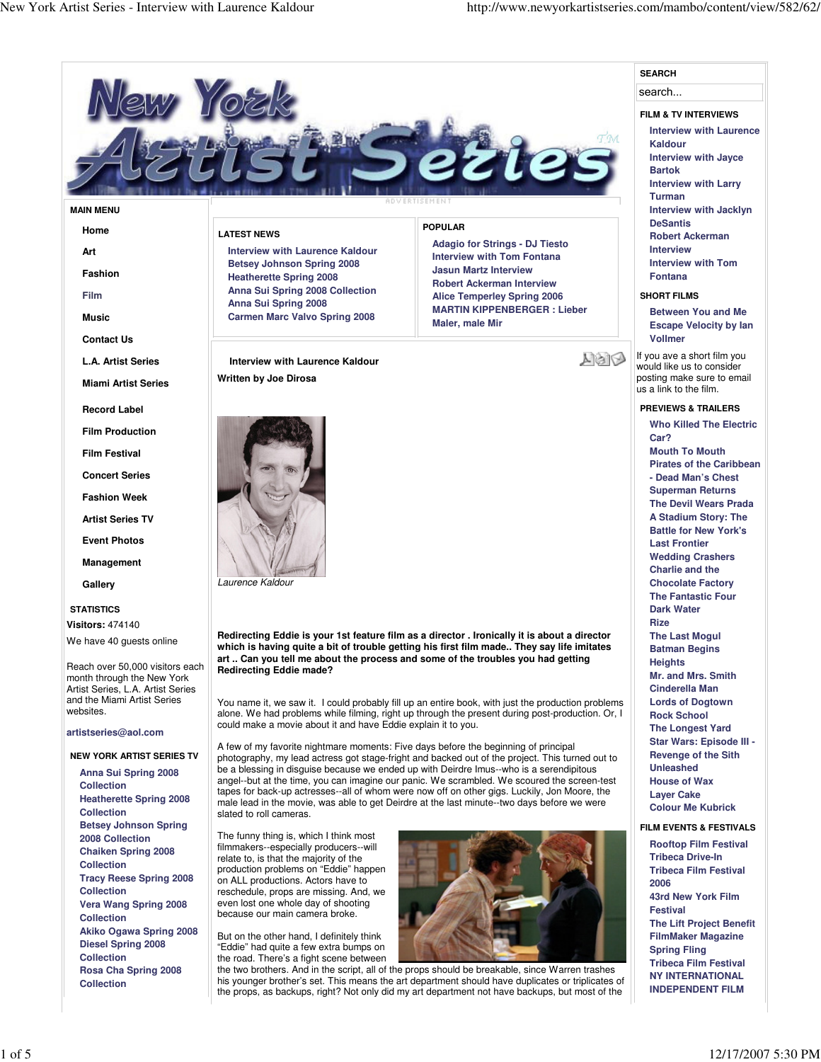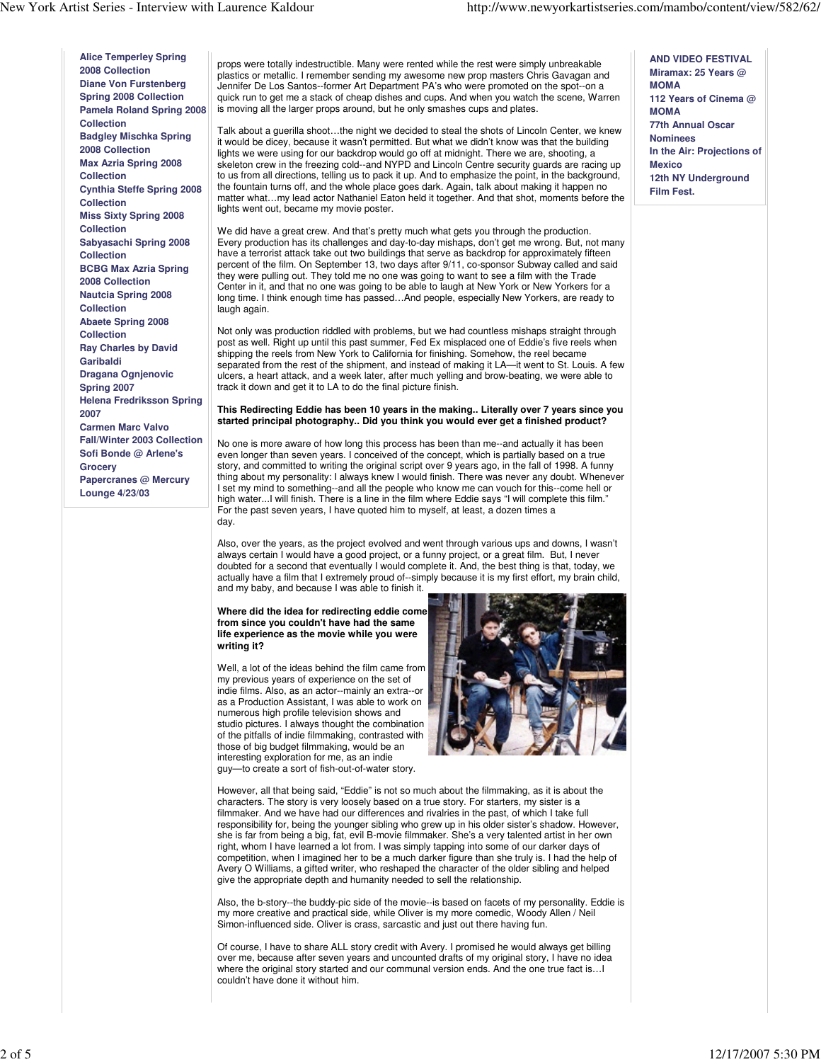**Alice Temperley Spring 2008 Collection Diane Von Furstenberg Spring 2008 Collection Pamela Roland Spring 2008 Collection Badgley Mischka Spring 2008 Collection Max Azria Spring 2008 Collection Cynthia Steffe Spring 2008 Collection Miss Sixty Spring 2008 Collection Sabyasachi Spring 2008 Collection BCBG Max Azria Spring 2008 Collection Nautcia Spring 2008 Collection Abaete Spring 2008 Collection Ray Charles by David Garibaldi Dragana Ognjenovic Spring 2007 Helena Fredriksson Spring 2007 Carmen Marc Valvo Fall/Winter 2003 Collection Sofi Bonde @ Arlene's Grocery Papercranes @ Mercury Lounge 4/23/03**

props were totally indestructible. Many were rented while the rest were simply unbreakable plastics or metallic. I remember sending my awesome new prop masters Chris Gavagan and Jennifer De Los Santos--former Art Department PA's who were promoted on the spot--on a quick run to get me a stack of cheap dishes and cups. And when you watch the scene, Warren is moving all the larger props around, but he only smashes cups and plates.

Talk about a guerilla shoot…the night we decided to steal the shots of Lincoln Center, we knew it would be dicey, because it wasn't permitted. But what we didn't know was that the building lights we were using for our backdrop would go off at midnight. There we are, shooting, a skeleton crew in the freezing cold--and NYPD and Lincoln Centre security guards are racing up to us from all directions, telling us to pack it up. And to emphasize the point, in the background, the fountain turns off, and the whole place goes dark. Again, talk about making it happen no matter what…my lead actor Nathaniel Eaton held it together. And that shot, moments before the lights went out, became my movie poster.

We did have a great crew. And that's pretty much what gets you through the production. Every production has its challenges and day-to-day mishaps, don't get me wrong. But, not many have a terrorist attack take out two buildings that serve as backdrop for approximately fifteen percent of the film. On September 13, two days after 9/11, co-sponsor Subway called and said they were pulling out. They told me no one was going to want to see a film with the Trade Center in it, and that no one was going to be able to laugh at New York or New Yorkers for a long time. I think enough time has passed…And people, especially New Yorkers, are ready to laugh again.

Not only was production riddled with problems, but we had countless mishaps straight through post as well. Right up until this past summer, Fed Ex misplaced one of Eddie's five reels when shipping the reels from New York to California for finishing. Somehow, the reel became separated from the rest of the shipment, and instead of making it LA—it went to St. Louis. A few ulcers, a heart attack, and a week later, after much yelling and brow-beating, we were able to track it down and get it to LA to do the final picture finish.

# **This Redirecting Eddie has been 10 years in the making.. Literally over 7 years since you started principal photography.. Did you think you would ever get a finished product?**

No one is more aware of how long this process has been than me--and actually it has been even longer than seven years. I conceived of the concept, which is partially based on a true story, and committed to writing the original script over 9 years ago, in the fall of 1998. A funny thing about my personality: I always knew I would finish. There was never any doubt. Whenever I set my mind to something--and all the people who know me can vouch for this--come hell or high water...I will finish. There is a line in the film where Eddie says "I will complete this film." For the past seven years, I have quoted him to myself, at least, a dozen times a day.

Also, over the years, as the project evolved and went through various ups and downs, I wasn't always certain I would have a good project, or a funny project, or a great film. But, I never doubted for a second that eventually I would complete it. And, the best thing is that, today, we actually have a film that I extremely proud of--simply because it is my first effort, my brain child, and my baby, and because I was able to finish it.

**Where did the idea for redirecting eddie come from since you couldn't have had the same life experience as the movie while you were writing it?**

Well, a lot of the ideas behind the film came from my previous years of experience on the set of indie films. Also, as an actor--mainly an extra--or as a Production Assistant, I was able to work on numerous high profile television shows and studio pictures. I always thought the combination of the pitfalls of indie filmmaking, contrasted with those of big budget filmmaking, would be an interesting exploration for me, as an indie guy—to create a sort of fish-out-of-water story.



However, all that being said, "Eddie" is not so much about the filmmaking, as it is about the characters. The story is very loosely based on a true story. For starters, my sister is a filmmaker. And we have had our differences and rivalries in the past, of which I take full responsibility for, being the younger sibling who grew up in his older sister's shadow. However, she is far from being a big, fat, evil B-movie filmmaker. She's a very talented artist in her own right, whom I have learned a lot from. I was simply tapping into some of our darker days of competition, when I imagined her to be a much darker figure than she truly is. I had the help of Avery O Williams, a gifted writer, who reshaped the character of the older sibling and helped give the appropriate depth and humanity needed to sell the relationship.

Also, the b-story--the buddy-pic side of the movie--is based on facets of my personality. Eddie is my more creative and practical side, while Oliver is my more comedic, Woody Allen / Neil Simon-influenced side. Oliver is crass, sarcastic and just out there having fun.

Of course, I have to share ALL story credit with Avery. I promised he would always get billing over me, because after seven years and uncounted drafts of my original story, I have no idea where the original story started and our communal version ends. And the one true fact is…I couldn't have done it without him.

**AND VIDEO FESTIVAL Miramax: 25 Years @ MOMA 112 Years of Cinema @ MOMA 77th Annual Oscar Nominees In the Air: Projections of Mexico 12th NY Underground Film Fest.**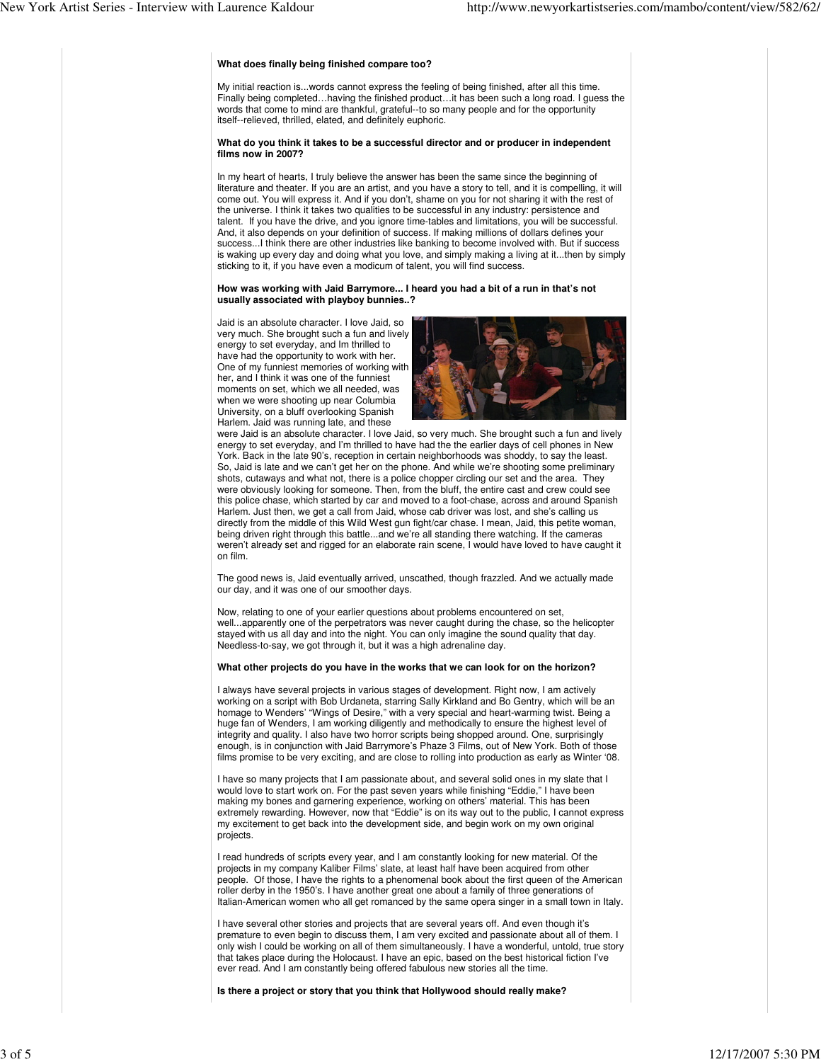### **What does finally being finished compare too?**

My initial reaction is...words cannot express the feeling of being finished, after all this time. Finally being completed…having the finished product…it has been such a long road. I guess the words that come to mind are thankful, grateful--to so many people and for the opportunity itself--relieved, thrilled, elated, and definitely euphoric.

#### **What do you think it takes to be a successful director and or producer in independent films now in 2007?**

In my heart of hearts, I truly believe the answer has been the same since the beginning of literature and theater. If you are an artist, and you have a story to tell, and it is compelling, it will come out. You will express it. And if you don't, shame on you for not sharing it with the rest of the universe. I think it takes two qualities to be successful in any industry: persistence and talent. If you have the drive, and you ignore time-tables and limitations, you will be successful. And, it also depends on your definition of success. If making millions of dollars defines your success...I think there are other industries like banking to become involved with. But if success is waking up every day and doing what you love, and simply making a living at it...then by simply sticking to it, if you have even a modicum of talent, you will find success.

### **How was working with Jaid Barrymore... I heard you had a bit of a run in that's not usually associated with playboy bunnies..?**

Jaid is an absolute character. I love Jaid, so very much. She brought such a fun and lively energy to set everyday, and Im thrilled to have had the opportunity to work with her. One of my funniest memories of working with her, and I think it was one of the funniest moments on set, which we all needed, was when we were shooting up near Columbia University, on a bluff overlooking Spanish Harlem. Jaid was running late, and these



were Jaid is an absolute character. I love Jaid, so very much. She brought such a fun and lively energy to set everyday, and I'm thrilled to have had the the earlier days of cell phones in New York. Back in the late 90's, reception in certain neighborhoods was shoddy, to say the least. So, Jaid is late and we can't get her on the phone. And while we're shooting some preliminary shots, cutaways and what not, there is a police chopper circling our set and the area. They were obviously looking for someone. Then, from the bluff, the entire cast and crew could see this police chase, which started by car and moved to a foot-chase, across and around Spanish Harlem. Just then, we get a call from Jaid, whose cab driver was lost, and she's calling us directly from the middle of this Wild West gun fight/car chase. I mean, Jaid, this petite woman, being driven right through this battle...and we're all standing there watching. If the cameras weren't already set and rigged for an elaborate rain scene, I would have loved to have caught it on film.

The good news is, Jaid eventually arrived, unscathed, though frazzled. And we actually made our day, and it was one of our smoother days.

Now, relating to one of your earlier questions about problems encountered on set, well...apparently one of the perpetrators was never caught during the chase, so the helicopter stayed with us all day and into the night. You can only imagine the sound quality that day. Needless-to-say, we got through it, but it was a high adrenaline day.

#### **What other projects do you have in the works that we can look for on the horizon?**

I always have several projects in various stages of development. Right now, I am actively working on a script with Bob Urdaneta, starring Sally Kirkland and Bo Gentry, which will be an homage to Wenders' "Wings of Desire," with a very special and heart-warming twist. Being a huge fan of Wenders, I am working diligently and methodically to ensure the highest level of integrity and quality. I also have two horror scripts being shopped around. One, surprisingly enough, is in conjunction with Jaid Barrymore's Phaze 3 Films, out of New York. Both of those films promise to be very exciting, and are close to rolling into production as early as Winter '08.

I have so many projects that I am passionate about, and several solid ones in my slate that I would love to start work on. For the past seven years while finishing "Eddie," I have been making my bones and garnering experience, working on others' material. This has been extremely rewarding. However, now that "Eddie" is on its way out to the public, I cannot express my excitement to get back into the development side, and begin work on my own original projects.

I read hundreds of scripts every year, and I am constantly looking for new material. Of the projects in my company Kaliber Films' slate, at least half have been acquired from other people. Of those, I have the rights to a phenomenal book about the first queen of the American roller derby in the 1950's. I have another great one about a family of three generations of Italian-American women who all get romanced by the same opera singer in a small town in Italy.

I have several other stories and projects that are several years off. And even though it's premature to even begin to discuss them, I am very excited and passionate about all of them. I only wish I could be working on all of them simultaneously. I have a wonderful, untold, true story that takes place during the Holocaust. I have an epic, based on the best historical fiction I've ever read. And I am constantly being offered fabulous new stories all the time.

**Is there a project or story that you think that Hollywood should really make?**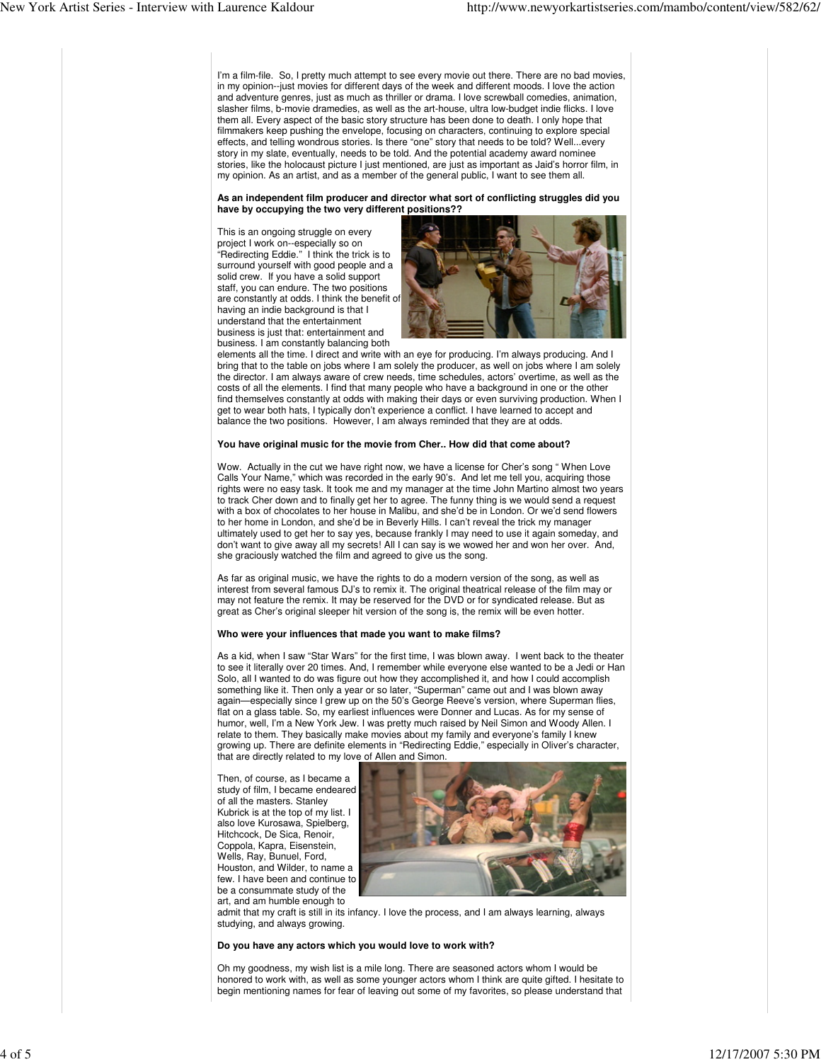I'm a film-file. So, I pretty much attempt to see every movie out there. There are no bad movies, in my opinion--just movies for different days of the week and different moods. I love the action and adventure genres, just as much as thriller or drama. I love screwball comedies, animation, slasher films, b-movie dramedies, as well as the art-house, ultra low-budget indie flicks. I love them all. Every aspect of the basic story structure has been done to death. I only hope that filmmakers keep pushing the envelope, focusing on characters, continuing to explore special effects, and telling wondrous stories. Is there "one" story that needs to be told? Well...every story in my slate, eventually, needs to be told. And the potential academy award nominee stories, like the holocaust picture I just mentioned, are just as important as Jaid's horror film, in my opinion. As an artist, and as a member of the general public, I want to see them all.

# **As an independent film producer and director what sort of conflicting struggles did you have by occupying the two very different positions??**

This is an ongoing struggle on every project I work on--especially so on "Redirecting Eddie." I think the trick is to surround yourself with good people and a solid crew. If you have a solid support staff, you can endure. The two positions are constantly at odds. I think the benefit of having an indie background is that I understand that the entertainment business is just that: entertainment and business. I am constantly balancing both



elements all the time. I direct and write with an eye for producing. I'm always producing. And I bring that to the table on jobs where I am solely the producer, as well on jobs where I am solely the director. I am always aware of crew needs, time schedules, actors' overtime, as well as the costs of all the elements. I find that many people who have a background in one or the other find themselves constantly at odds with making their days or even surviving production. When I get to wear both hats, I typically don't experience a conflict. I have learned to accept and balance the two positions. However, I am always reminded that they are at odds.

### **You have original music for the movie from Cher.. How did that come about?**

Wow. Actually in the cut we have right now, we have a license for Cher's song " When Love Calls Your Name," which was recorded in the early 90's. And let me tell you, acquiring those rights were no easy task. It took me and my manager at the time John Martino almost two years to track Cher down and to finally get her to agree. The funny thing is we would send a request with a box of chocolates to her house in Malibu, and she'd be in London. Or we'd send flowers to her home in London, and she'd be in Beverly Hills. I can't reveal the trick my manager ultimately used to get her to say yes, because frankly I may need to use it again someday, and don't want to give away all my secrets! All I can say is we wowed her and won her over. And, she graciously watched the film and agreed to give us the song.

As far as original music, we have the rights to do a modern version of the song, as well as interest from several famous DJ's to remix it. The original theatrical release of the film may or may not feature the remix. It may be reserved for the DVD or for syndicated release. But as great as Cher's original sleeper hit version of the song is, the remix will be even hotter.

# **Who were your influences that made you want to make films?**

As a kid, when I saw "Star Wars" for the first time, I was blown away. I went back to the theater to see it literally over 20 times. And, I remember while everyone else wanted to be a Jedi or Han Solo, all I wanted to do was figure out how they accomplished it, and how I could accomplish something like it. Then only a year or so later, "Superman" came out and I was blown away again—especially since I grew up on the 50's George Reeve's version, where Superman flies, flat on a glass table. So, my earliest influences were Donner and Lucas. As for my sense of humor, well, I'm a New York Jew. I was pretty much raised by Neil Simon and Woody Allen. I relate to them. They basically make movies about my family and everyone's family I knew growing up. There are definite elements in "Redirecting Eddie," especially in Oliver's character, that are directly related to my love of Allen and Simon.

Then, of course, as I became a study of film, I became endeared of all the masters. Stanley Kubrick is at the top of my list. I also love Kurosawa, Spielberg, Hitchcock, De Sica, Renoir, Coppola, Kapra, Eisenstein, Wells, Ray, Bunuel, Ford, Houston, and Wilder, to name a few. I have been and continue to be a consummate study of the art, and am humble enough to



admit that my craft is still in its infancy. I love the process, and I am always learning, always studying, and always growing.

# **Do you have any actors which you would love to work with?**

Oh my goodness, my wish list is a mile long. There are seasoned actors whom I would be honored to work with, as well as some younger actors whom I think are quite gifted. I hesitate to begin mentioning names for fear of leaving out some of my favorites, so please understand that